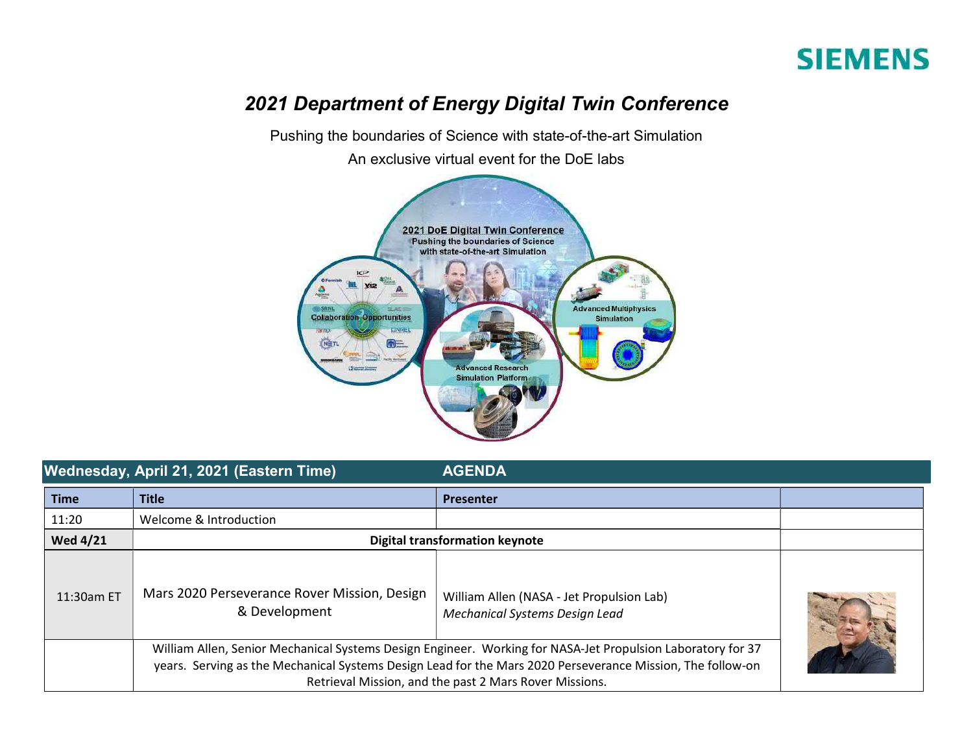## **SIEMENS**

## 2021 Department of Energy Digital Twin Conference

Pushing the boundaries of Science with state-of-the-art Simulation

An exclusive virtual event for the DoE labs



|                 | Wednesday, April 21, 2021 (Eastern Time)                                                                                                                                                                                                                                            | <b>AGENDA</b>                                                               |  |
|-----------------|-------------------------------------------------------------------------------------------------------------------------------------------------------------------------------------------------------------------------------------------------------------------------------------|-----------------------------------------------------------------------------|--|
| <b>Time</b>     | <b>Title</b>                                                                                                                                                                                                                                                                        | <b>Presenter</b>                                                            |  |
| 11:20           | Welcome & Introduction                                                                                                                                                                                                                                                              |                                                                             |  |
| <b>Wed 4/21</b> | <b>Digital transformation keynote</b>                                                                                                                                                                                                                                               |                                                                             |  |
| 11:30am ET      | Mars 2020 Perseverance Rover Mission, Design<br>& Development                                                                                                                                                                                                                       | William Allen (NASA - Jet Propulsion Lab)<br>Mechanical Systems Design Lead |  |
|                 | William Allen, Senior Mechanical Systems Design Engineer. Working for NASA-Jet Propulsion Laboratory for 37<br>years. Serving as the Mechanical Systems Design Lead for the Mars 2020 Perseverance Mission, The follow-on<br>Retrieval Mission, and the past 2 Mars Rover Missions. |                                                                             |  |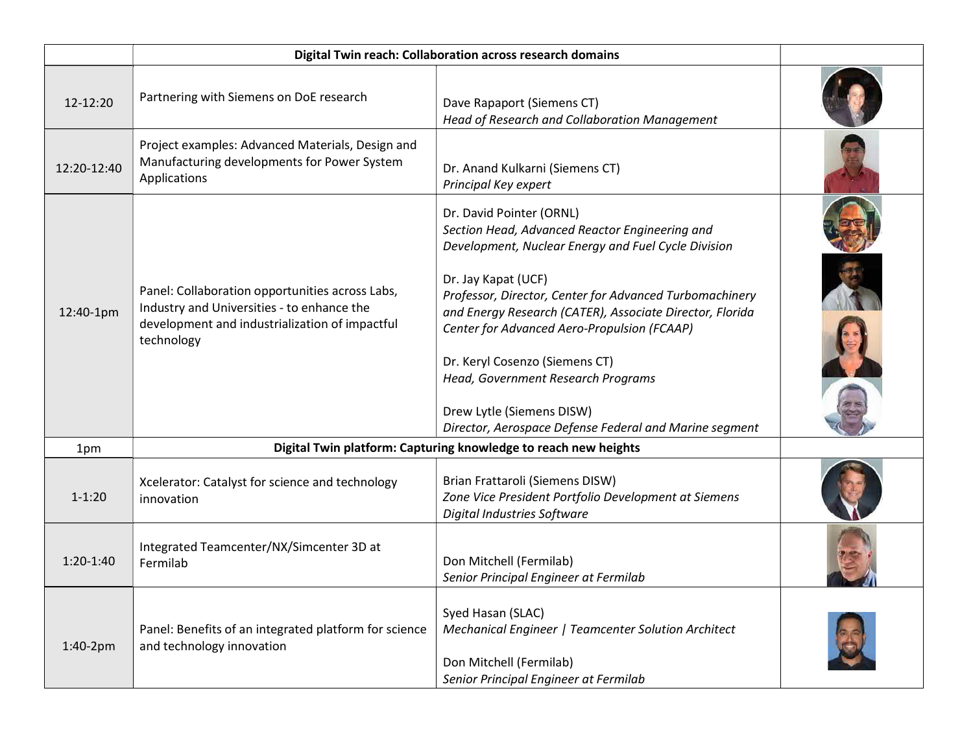| 12-12:20    | Partnering with Siemens on DoE research                                                                                                                       | Dave Rapaport (Siemens CT)<br>Head of Research and Collaboration Management                                                                                                                                                                                                                                                                                                                                                                                                                   |  |
|-------------|---------------------------------------------------------------------------------------------------------------------------------------------------------------|-----------------------------------------------------------------------------------------------------------------------------------------------------------------------------------------------------------------------------------------------------------------------------------------------------------------------------------------------------------------------------------------------------------------------------------------------------------------------------------------------|--|
| 12:20-12:40 | Project examples: Advanced Materials, Design and<br>Manufacturing developments for Power System<br>Applications                                               | Dr. Anand Kulkarni (Siemens CT)<br>Principal Key expert                                                                                                                                                                                                                                                                                                                                                                                                                                       |  |
| 12:40-1pm   | Panel: Collaboration opportunities across Labs,<br>Industry and Universities - to enhance the<br>development and industrialization of impactful<br>technology | Dr. David Pointer (ORNL)<br>Section Head, Advanced Reactor Engineering and<br>Development, Nuclear Energy and Fuel Cycle Division<br>Dr. Jay Kapat (UCF)<br>Professor, Director, Center for Advanced Turbomachinery<br>and Energy Research (CATER), Associate Director, Florida<br>Center for Advanced Aero-Propulsion (FCAAP)<br>Dr. Keryl Cosenzo (Siemens CT)<br>Head, Government Research Programs<br>Drew Lytle (Siemens DISW)<br>Director, Aerospace Defense Federal and Marine segment |  |
| 1pm         |                                                                                                                                                               | Digital Twin platform: Capturing knowledge to reach new heights                                                                                                                                                                                                                                                                                                                                                                                                                               |  |
| $1 - 1:20$  | Xcelerator: Catalyst for science and technology<br>innovation                                                                                                 | Brian Frattaroli (Siemens DISW)<br>Zone Vice President Portfolio Development at Siemens<br>Digital Industries Software                                                                                                                                                                                                                                                                                                                                                                        |  |
| $1:20-1:40$ | Integrated Teamcenter/NX/Simcenter 3D at<br>Fermilab                                                                                                          | Don Mitchell (Fermilab)<br>Senior Principal Engineer at Fermilab                                                                                                                                                                                                                                                                                                                                                                                                                              |  |
| 1:40-2pm    | Panel: Benefits of an integrated platform for science<br>and technology innovation                                                                            | Syed Hasan (SLAC)<br>Mechanical Engineer   Teamcenter Solution Architect<br>Don Mitchell (Fermilab)<br>Senior Principal Engineer at Fermilab                                                                                                                                                                                                                                                                                                                                                  |  |